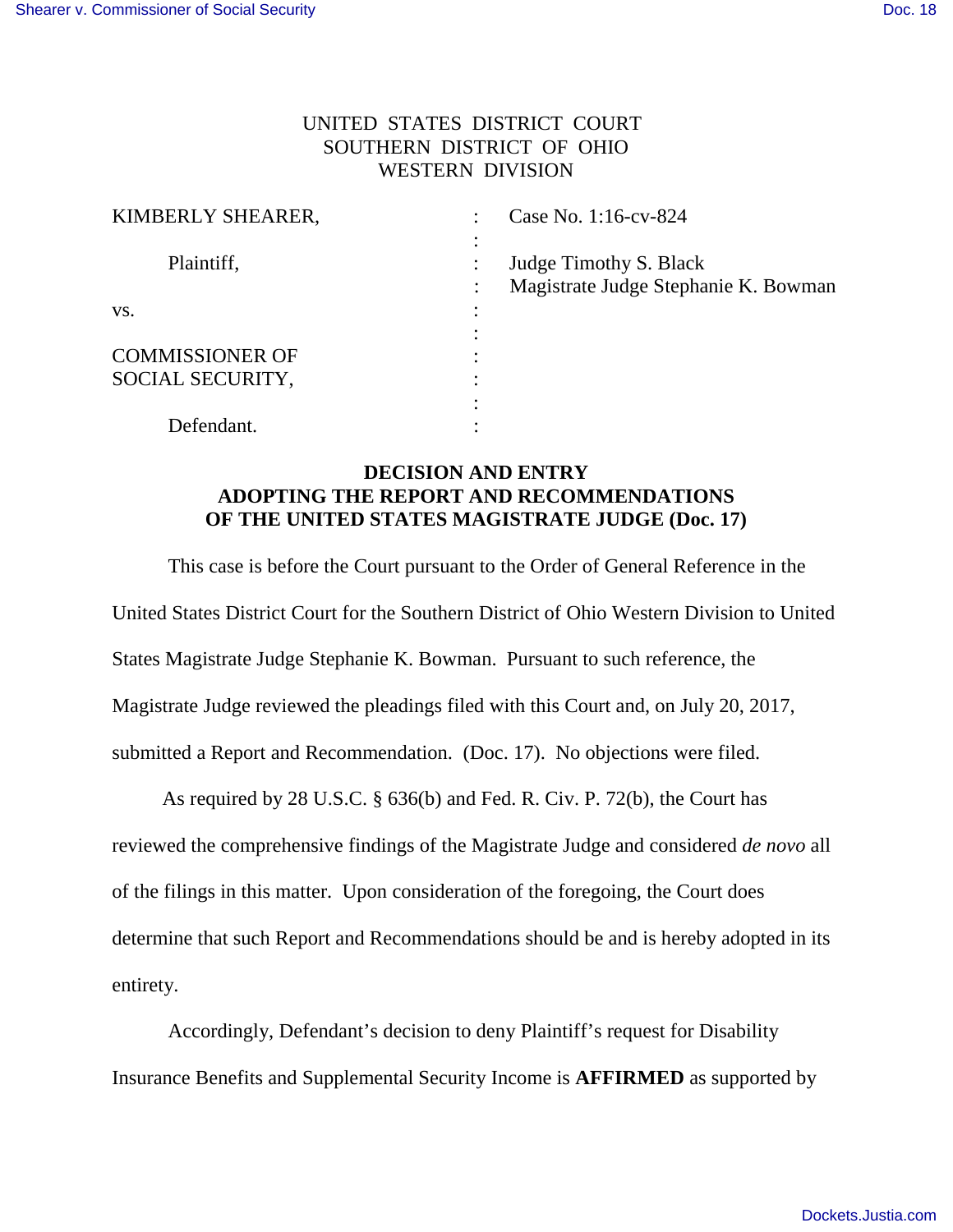## UNITED STATES DISTRICT COURT SOUTHERN DISTRICT OF OHIO WESTERN DIVISION

| KIMBERLY SHEARER,      | Case No. 1:16-cv-824                                   |
|------------------------|--------------------------------------------------------|
|                        |                                                        |
| Plaintiff,             | Judge Timothy S. Black                                 |
|                        | Magistrate Judge Stephanie K. Bowman<br>$\ddot{\cdot}$ |
| VS.                    |                                                        |
|                        |                                                        |
| <b>COMMISSIONER OF</b> |                                                        |
| SOCIAL SECURITY,       |                                                        |
|                        | ٠                                                      |
| Defendant.             |                                                        |

## **DECISION AND ENTRY ADOPTING THE REPORT AND RECOMMENDATIONS OF THE UNITED STATES MAGISTRATE JUDGE (Doc. 17)**

This case is before the Court pursuant to the Order of General Reference in the United States District Court for the Southern District of Ohio Western Division to United States Magistrate Judge Stephanie K. Bowman. Pursuant to such reference, the Magistrate Judge reviewed the pleadings filed with this Court and, on July 20, 2017, submitted a Report and Recommendation. (Doc. 17). No objections were filed.

 As required by 28 U.S.C. § 636(b) and Fed. R. Civ. P. 72(b), the Court has reviewed the comprehensive findings of the Magistrate Judge and considered *de novo* all of the filings in this matter. Upon consideration of the foregoing, the Court does determine that such Report and Recommendations should be and is hereby adopted in its entirety.

Accordingly, Defendant's decision to deny Plaintiff's request for Disability Insurance Benefits and Supplemental Security Income is **AFFIRMED** as supported by